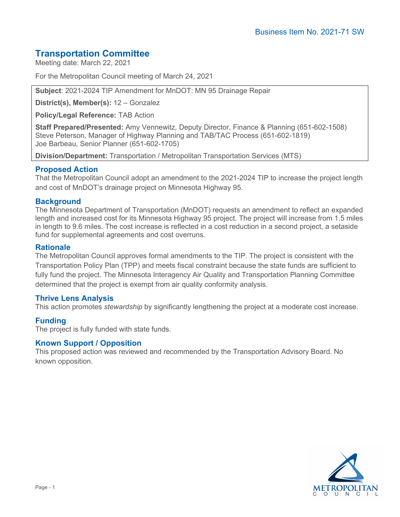# **Transportation Committee**

Meeting date: March 22, 2021

For the Metropolitan Council meeting of March 24, 2021

**Subject**: 2021-2024 TIP Amendment for MnDOT: MN 95 Drainage Repair

**District(s), Member(s):** 12 – Gonzalez

**Policy/Legal Reference:** TAB Action

**Staff Prepared/Presented:** Amy Vennewitz, Deputy Director, Finance & Planning (651-602-1508) Steve Peterson, Manager of Highway Planning and TAB/TAC Process (651-602-1819) Joe Barbeau, Senior Planner (651-602-1705)

**Division/Department:** Transportation / Metropolitan Transportation Services (MTS)

# **Proposed Action**

That the Metropolitan Council adopt an amendment to the 2021-2024 TIP to increase the project length and cost of MnDOT's drainage project on Minnesota Highway 95.

# **Background**

The Minnesota Department of Transportation (MnDOT) requests an amendment to reflect an expanded length and increased cost for its Minnesota Highway 95 project. The project will increase from 1.5 miles in length to 9.6 miles. The cost increase is reflected in a cost reduction in a second project, a setaside fund for supplemental agreements and cost overruns.

# **Rationale**

The Metropolitan Council approves formal amendments to the TIP. The project is consistent with the Transportation Policy Plan (TPP) and meets fiscal constraint because the state funds are sufficient to fully fund the project. The Minnesota Interagency Air Quality and Transportation Planning Committee determined that the project is exempt from air quality conformity analysis.

# **Thrive Lens Analysis**

This action promotes *stewardship* by significantly lengthening the project at a moderate cost increase.

# **Funding**

The project is fully funded with state funds.

#### **Known Support / Opposition**

This proposed action was reviewed and recommended by the Transportation Advisory Board. No known opposition.